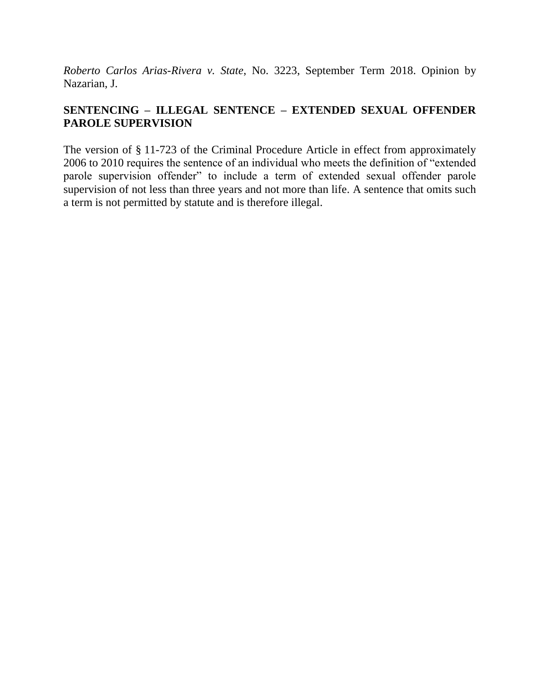*Roberto Carlos Arias-Rivera v. State*, No. 3223, September Term 2018. Opinion by Nazarian, J.

# **SENTENCING – ILLEGAL SENTENCE – EXTENDED SEXUAL OFFENDER PAROLE SUPERVISION**

The version of § 11-723 of the Criminal Procedure Article in effect from approximately 2006 to 2010 requires the sentence of an individual who meets the definition of "extended parole supervision offender" to include a term of extended sexual offender parole supervision of not less than three years and not more than life. A sentence that omits such a term is not permitted by statute and is therefore illegal.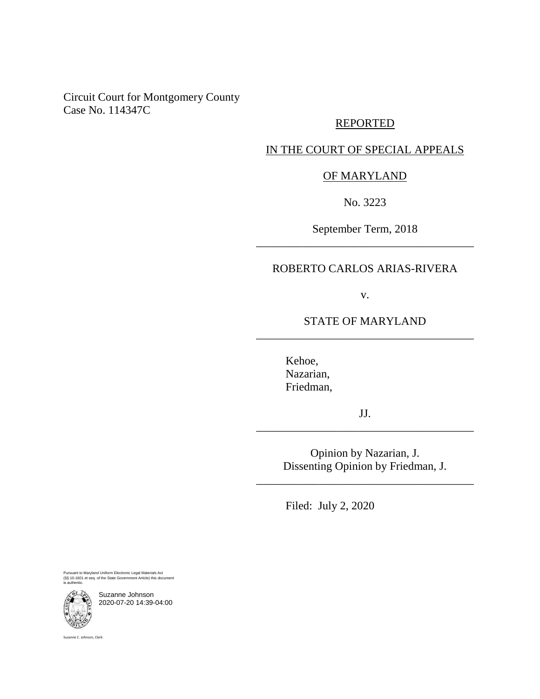Circuit Court for Montgomery County Case No. 114347C

### REPORTED

### IN THE COURT OF SPECIAL APPEALS

## OF MARYLAND

No. 3223

September Term, 2018 \_\_\_\_\_\_\_\_\_\_\_\_\_\_\_\_\_\_\_\_\_\_\_\_\_\_\_\_\_\_\_\_\_\_\_\_\_\_

## ROBERTO CARLOS ARIAS-RIVERA

v.

## STATE OF MARYLAND \_\_\_\_\_\_\_\_\_\_\_\_\_\_\_\_\_\_\_\_\_\_\_\_\_\_\_\_\_\_\_\_\_\_\_\_\_\_

Kehoe, Nazarian, Friedman,

JJ. \_\_\_\_\_\_\_\_\_\_\_\_\_\_\_\_\_\_\_\_\_\_\_\_\_\_\_\_\_\_\_\_\_\_\_\_\_\_

> Opinion by Nazarian, J. Dissenting Opinion by Friedman, J.

\_\_\_\_\_\_\_\_\_\_\_\_\_\_\_\_\_\_\_\_\_\_\_\_\_\_\_\_\_\_\_\_\_\_\_\_\_\_

Filed: July 2, 2020

Pursuant to Maryland Uniform Electronic Legal Materials Act (§§ 10-1601 et seq. of the State Government Article) this document is authentic.

Suzanne Johnson 2020-07-20 14:39-04:00

Suzanne C. Johnson, Clerk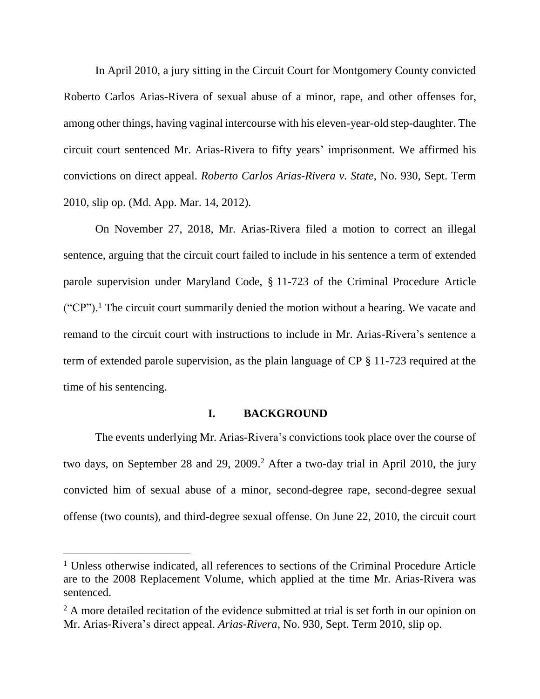In April 2010, a jury sitting in the Circuit Court for Montgomery County convicted Roberto Carlos Arias-Rivera of sexual abuse of a minor, rape, and other offenses for, among other things, having vaginal intercourse with his eleven-year-old step-daughter. The circuit court sentenced Mr. Arias-Rivera to fifty years' imprisonment. We affirmed his convictions on direct appeal. *Roberto Carlos Arias-Rivera v. State*, No. 930, Sept. Term 2010, slip op. (Md. App. Mar. 14, 2012).

On November 27, 2018, Mr. Arias-Rivera filed a motion to correct an illegal sentence, arguing that the circuit court failed to include in his sentence a term of extended parole supervision under Maryland Code, § 11-723 of the Criminal Procedure Article  $("CP")$ .<sup>1</sup> The circuit court summarily denied the motion without a hearing. We vacate and remand to the circuit court with instructions to include in Mr. Arias-Rivera's sentence a term of extended parole supervision, as the plain language of CP § 11-723 required at the time of his sentencing.

### **I. BACKGROUND**

The events underlying Mr. Arias-Rivera's convictions took place over the course of two days, on September 28 and 29, 2009. <sup>2</sup> After a two-day trial in April 2010, the jury convicted him of sexual abuse of a minor, second-degree rape, second-degree sexual offense (two counts), and third-degree sexual offense. On June 22, 2010, the circuit court

<sup>&</sup>lt;sup>1</sup> Unless otherwise indicated, all references to sections of the Criminal Procedure Article are to the 2008 Replacement Volume, which applied at the time Mr. Arias-Rivera was sentenced.

<sup>&</sup>lt;sup>2</sup> A more detailed recitation of the evidence submitted at trial is set forth in our opinion on Mr. Arias-Rivera's direct appeal. *Arias-Rivera*, No. 930, Sept. Term 2010, slip op.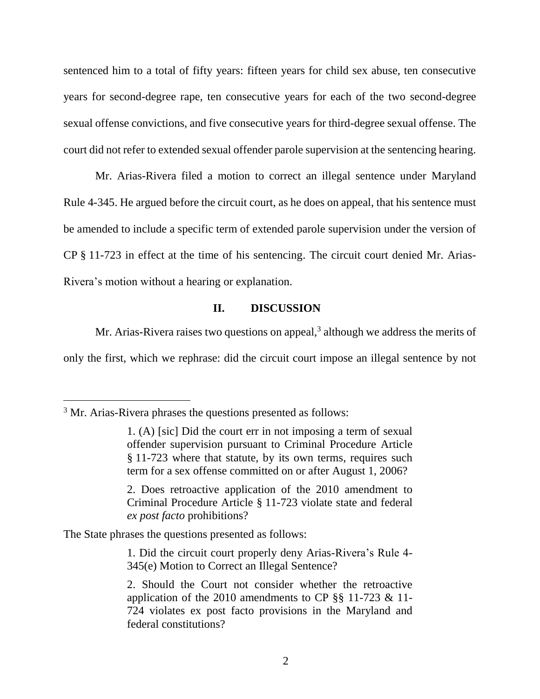sentenced him to a total of fifty years: fifteen years for child sex abuse, ten consecutive years for second-degree rape, ten consecutive years for each of the two second-degree sexual offense convictions, and five consecutive years for third-degree sexual offense. The court did not refer to extended sexual offender parole supervision at the sentencing hearing.

Mr. Arias-Rivera filed a motion to correct an illegal sentence under Maryland Rule 4-345. He argued before the circuit court, as he does on appeal, that his sentence must be amended to include a specific term of extended parole supervision under the version of CP § 11-723 in effect at the time of his sentencing. The circuit court denied Mr. Arias-Rivera's motion without a hearing or explanation.

## **II. DISCUSSION**

Mr. Arias-Rivera raises two questions on appeal, $3$  although we address the merits of only the first, which we rephrase: did the circuit court impose an illegal sentence by not

 $\overline{a}$ 

The State phrases the questions presented as follows:

1. Did the circuit court properly deny Arias-Rivera's Rule 4- 345(e) Motion to Correct an Illegal Sentence?

<sup>&</sup>lt;sup>3</sup> Mr. Arias-Rivera phrases the questions presented as follows:

<sup>1. (</sup>A) [sic] Did the court err in not imposing a term of sexual offender supervision pursuant to Criminal Procedure Article § 11-723 where that statute, by its own terms, requires such term for a sex offense committed on or after August 1, 2006?

<sup>2.</sup> Does retroactive application of the 2010 amendment to Criminal Procedure Article § 11-723 violate state and federal *ex post facto* prohibitions?

<sup>2.</sup> Should the Court not consider whether the retroactive application of the 2010 amendments to CP §§ 11-723 & 11- 724 violates ex post facto provisions in the Maryland and federal constitutions?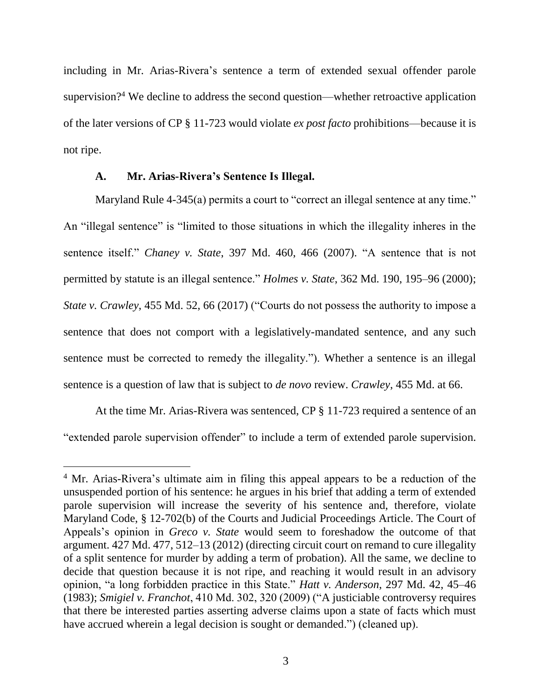including in Mr. Arias-Rivera's sentence a term of extended sexual offender parole supervision?<sup>4</sup> We decline to address the second question—whether retroactive application of the later versions of CP § 11-723 would violate *ex post facto* prohibitions—because it is not ripe.

#### **A. Mr. Arias-Rivera's Sentence Is Illegal.**

Maryland Rule 4-345(a) permits a court to "correct an illegal sentence at any time." An "illegal sentence" is "limited to those situations in which the illegality inheres in the sentence itself." *Chaney v. State*, 397 Md. 460, 466 (2007). "A sentence that is not permitted by statute is an illegal sentence." *Holmes v. State*, 362 Md. 190, 195–96 (2000); *State v. Crawley*, 455 Md. 52, 66 (2017) ("Courts do not possess the authority to impose a sentence that does not comport with a legislatively-mandated sentence, and any such sentence must be corrected to remedy the illegality."). Whether a sentence is an illegal sentence is a question of law that is subject to *de novo* review. *Crawley*, 455 Md. at 66.

At the time Mr. Arias-Rivera was sentenced, CP § 11-723 required a sentence of an "extended parole supervision offender" to include a term of extended parole supervision.

<sup>&</sup>lt;sup>4</sup> Mr. Arias-Rivera's ultimate aim in filing this appeal appears to be a reduction of the unsuspended portion of his sentence: he argues in his brief that adding a term of extended parole supervision will increase the severity of his sentence and, therefore, violate Maryland Code, § 12-702(b) of the Courts and Judicial Proceedings Article. The Court of Appeals's opinion in *Greco v. State* would seem to foreshadow the outcome of that argument. 427 Md. 477, 512–13 (2012) (directing circuit court on remand to cure illegality of a split sentence for murder by adding a term of probation). All the same, we decline to decide that question because it is not ripe, and reaching it would result in an advisory opinion, "a long forbidden practice in this State." *Hatt v. Anderson*, 297 Md. 42, 45–46 (1983); *Smigiel v. Franchot*, 410 Md. 302, 320 (2009) ("A justiciable controversy requires that there be interested parties asserting adverse claims upon a state of facts which must have accrued wherein a legal decision is sought or demanded.") (cleaned up).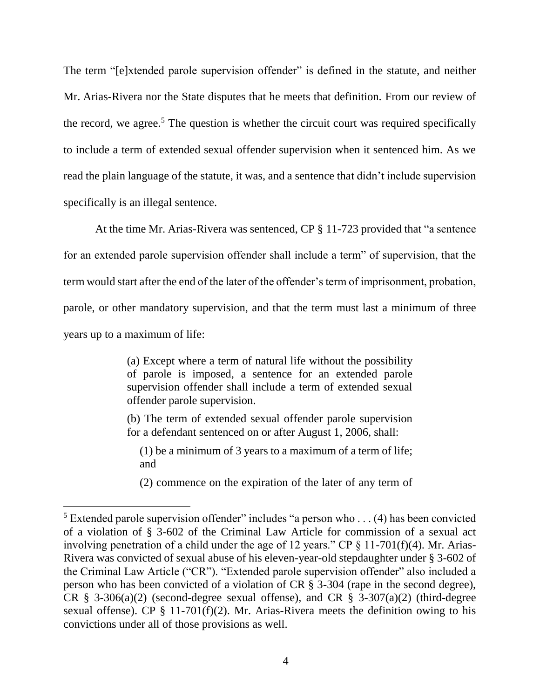The term "[e]xtended parole supervision offender" is defined in the statute, and neither Mr. Arias-Rivera nor the State disputes that he meets that definition. From our review of the record, we agree.<sup>5</sup> The question is whether the circuit court was required specifically to include a term of extended sexual offender supervision when it sentenced him. As we read the plain language of the statute, it was, and a sentence that didn't include supervision specifically is an illegal sentence.

At the time Mr. Arias-Rivera was sentenced, CP § 11-723 provided that "a sentence for an extended parole supervision offender shall include a term" of supervision, that the term would start after the end of the later of the offender's term of imprisonment, probation, parole, or other mandatory supervision, and that the term must last a minimum of three years up to a maximum of life:

> (a) Except where a term of natural life without the possibility of parole is imposed, a sentence for an extended parole supervision offender shall include a term of extended sexual offender parole supervision.

> (b) The term of extended sexual offender parole supervision for a defendant sentenced on or after August 1, 2006, shall:

(1) be a minimum of 3 years to a maximum of a term of life; and

(2) commence on the expiration of the later of any term of

<sup>&</sup>lt;sup>5</sup> Extended parole supervision offender" includes "a person who ... (4) has been convicted of a violation of § 3-602 of the Criminal Law Article for commission of a sexual act involving penetration of a child under the age of 12 years." CP  $\S$  11-701(f)(4). Mr. Arias-Rivera was convicted of sexual abuse of his eleven-year-old stepdaughter under § 3-602 of the Criminal Law Article ("CR"). "Extended parole supervision offender" also included a person who has been convicted of a violation of CR § 3-304 (rape in the second degree), CR  $\S$  3-306(a)(2) (second-degree sexual offense), and CR  $\S$  3-307(a)(2) (third-degree sexual offense). CP  $\S$  11-701(f)(2). Mr. Arias-Rivera meets the definition owing to his convictions under all of those provisions as well.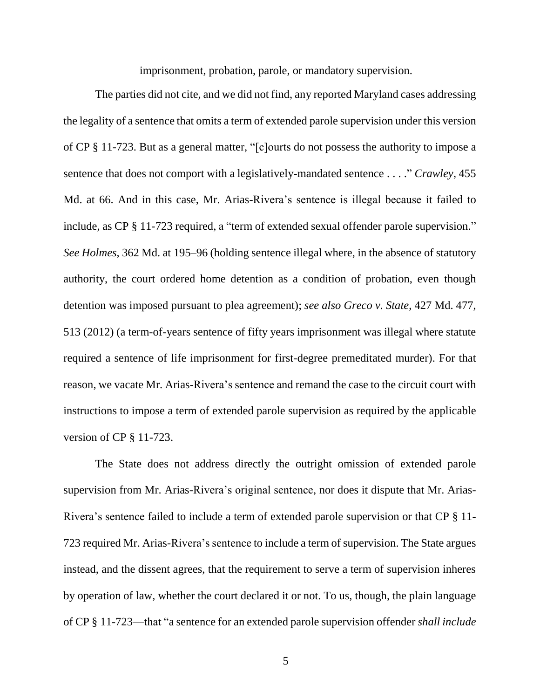imprisonment, probation, parole, or mandatory supervision.

The parties did not cite, and we did not find, any reported Maryland cases addressing the legality of a sentence that omits a term of extended parole supervision under this version of CP § 11-723. But as a general matter, "[c]ourts do not possess the authority to impose a sentence that does not comport with a legislatively-mandated sentence . . . ." *Crawley*, 455 Md. at 66. And in this case, Mr. Arias-Rivera's sentence is illegal because it failed to include, as CP § 11-723 required, a "term of extended sexual offender parole supervision." *See Holmes*, 362 Md. at 195–96 (holding sentence illegal where, in the absence of statutory authority, the court ordered home detention as a condition of probation, even though detention was imposed pursuant to plea agreement); *see also Greco v. State*, 427 Md. 477, 513 (2012) (a term-of-years sentence of fifty years imprisonment was illegal where statute required a sentence of life imprisonment for first-degree premeditated murder). For that reason, we vacate Mr. Arias-Rivera's sentence and remand the case to the circuit court with instructions to impose a term of extended parole supervision as required by the applicable version of CP § 11-723.

The State does not address directly the outright omission of extended parole supervision from Mr. Arias-Rivera's original sentence, nor does it dispute that Mr. Arias-Rivera's sentence failed to include a term of extended parole supervision or that CP § 11- 723 required Mr. Arias-Rivera's sentence to include a term of supervision. The State argues instead, and the dissent agrees, that the requirement to serve a term of supervision inheres by operation of law, whether the court declared it or not. To us, though, the plain language of CP § 11-723—that "a sentence for an extended parole supervision offender *shall include*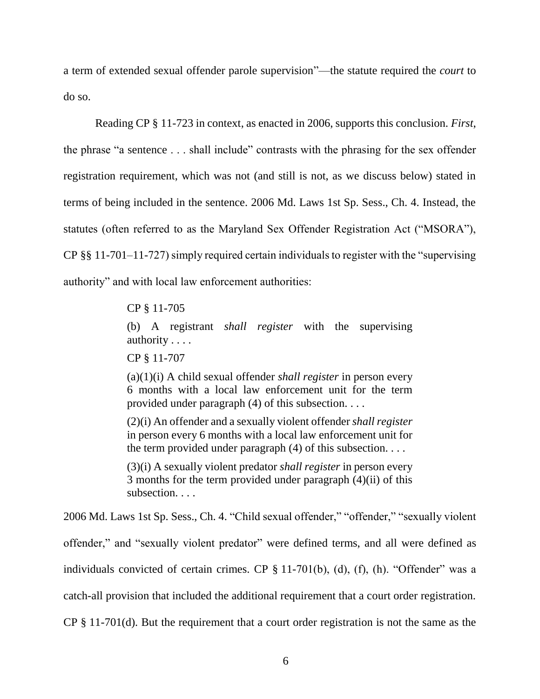a term of extended sexual offender parole supervision"—the statute required the *court* to do so.

Reading CP § 11-723 in context, as enacted in 2006, supports this conclusion. *First*, the phrase "a sentence . . . shall include" contrasts with the phrasing for the sex offender registration requirement, which was not (and still is not, as we discuss below) stated in terms of being included in the sentence. 2006 Md. Laws 1st Sp. Sess., Ch. 4. Instead, the statutes (often referred to as the Maryland Sex Offender Registration Act ("MSORA"), CP §§ 11-701–11-727) simply required certain individuals to register with the "supervising authority" and with local law enforcement authorities:

### CP § 11-705

(b) A registrant *shall register* with the supervising authority . . . .

CP § 11-707

(a)(1)(i) A child sexual offender *shall register* in person every 6 months with a local law enforcement unit for the term provided under paragraph (4) of this subsection. . . .

(2)(i) An offender and a sexually violent offender *shall register*  in person every 6 months with a local law enforcement unit for the term provided under paragraph  $(4)$  of this subsection. . . .

(3)(i) A sexually violent predator *shall register* in person every 3 months for the term provided under paragraph (4)(ii) of this subsection. . . .

2006 Md. Laws 1st Sp. Sess., Ch. 4. "Child sexual offender," "offender," "sexually violent offender," and "sexually violent predator" were defined terms, and all were defined as individuals convicted of certain crimes. CP § 11-701(b), (d), (f), (h). "Offender" was a catch-all provision that included the additional requirement that a court order registration. CP § 11-701(d). But the requirement that a court order registration is not the same as the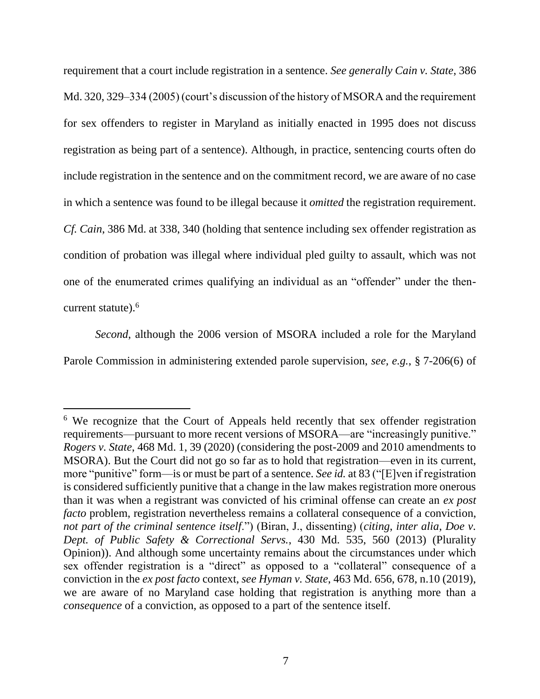requirement that a court include registration in a sentence. *See generally Cain v. State*, 386 Md. 320, 329–334 (2005) (court's discussion of the history of MSORA and the requirement for sex offenders to register in Maryland as initially enacted in 1995 does not discuss registration as being part of a sentence). Although, in practice, sentencing courts often do include registration in the sentence and on the commitment record, we are aware of no case in which a sentence was found to be illegal because it *omitted* the registration requirement. *Cf. Cain*, 386 Md. at 338, 340 (holding that sentence including sex offender registration as condition of probation was illegal where individual pled guilty to assault, which was not one of the enumerated crimes qualifying an individual as an "offender" under the thencurrent statute).<sup>6</sup>

*Second*, although the 2006 version of MSORA included a role for the Maryland Parole Commission in administering extended parole supervision, *see, e.g.*, § 7-206(6) of

<sup>&</sup>lt;sup>6</sup> We recognize that the Court of Appeals held recently that sex offender registration requirements—pursuant to more recent versions of MSORA—are "increasingly punitive." *Rogers v. State*, 468 Md. 1, 39 (2020) (considering the post-2009 and 2010 amendments to MSORA). But the Court did not go so far as to hold that registration—even in its current, more "punitive" form—is or must be part of a sentence. *See id.* at 83 ("[E]ven if registration is considered sufficiently punitive that a change in the law makes registration more onerous than it was when a registrant was convicted of his criminal offense can create an *ex post facto* problem, registration nevertheless remains a collateral consequence of a conviction, *not part of the criminal sentence itself*.") (Biran, J., dissenting) (*citing*, *inter alia*, *Doe v. Dept. of Public Safety & Correctional Servs.*, 430 Md. 535, 560 (2013) (Plurality Opinion)). And although some uncertainty remains about the circumstances under which sex offender registration is a "direct" as opposed to a "collateral" consequence of a conviction in the *ex post facto* context, *see Hyman v. State*, 463 Md. 656, 678, n.10 (2019), we are aware of no Maryland case holding that registration is anything more than a *consequence* of a conviction, as opposed to a part of the sentence itself.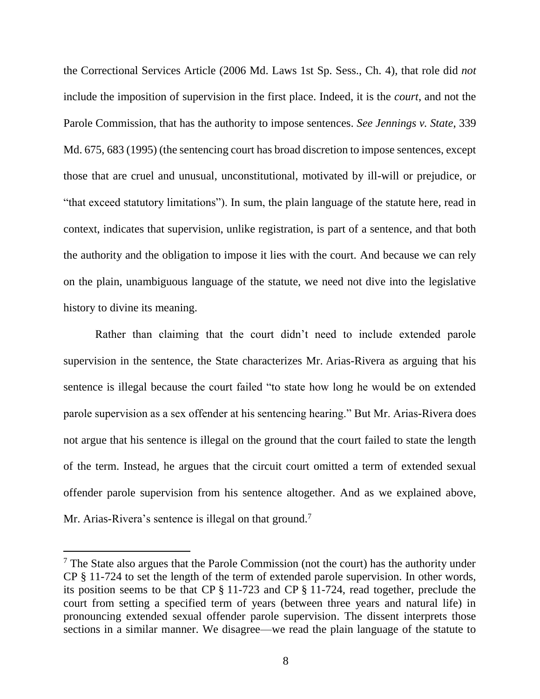the Correctional Services Article (2006 Md. Laws 1st Sp. Sess., Ch. 4), that role did *not* include the imposition of supervision in the first place. Indeed, it is the *court*, and not the Parole Commission, that has the authority to impose sentences. *See Jennings v. State*, 339 Md. 675, 683 (1995) (the sentencing court has broad discretion to impose sentences, except those that are cruel and unusual, unconstitutional, motivated by ill-will or prejudice, or "that exceed statutory limitations"). In sum, the plain language of the statute here, read in context, indicates that supervision, unlike registration, is part of a sentence, and that both the authority and the obligation to impose it lies with the court. And because we can rely on the plain, unambiguous language of the statute, we need not dive into the legislative history to divine its meaning.

Rather than claiming that the court didn't need to include extended parole supervision in the sentence, the State characterizes Mr. Arias-Rivera as arguing that his sentence is illegal because the court failed "to state how long he would be on extended parole supervision as a sex offender at his sentencing hearing." But Mr. Arias-Rivera does not argue that his sentence is illegal on the ground that the court failed to state the length of the term. Instead, he argues that the circuit court omitted a term of extended sexual offender parole supervision from his sentence altogether. And as we explained above, Mr. Arias-Rivera's sentence is illegal on that ground.<sup>7</sup>

 $<sup>7</sup>$  The State also argues that the Parole Commission (not the court) has the authority under</sup> CP § 11-724 to set the length of the term of extended parole supervision. In other words, its position seems to be that CP § 11-723 and CP § 11-724, read together, preclude the court from setting a specified term of years (between three years and natural life) in pronouncing extended sexual offender parole supervision. The dissent interprets those sections in a similar manner. We disagree—we read the plain language of the statute to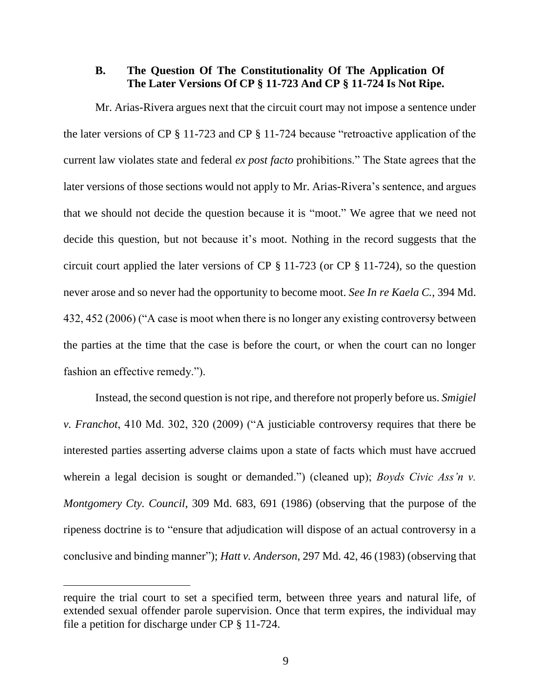### **B. The Question Of The Constitutionality Of The Application Of The Later Versions Of CP § 11-723 And CP § 11-724 Is Not Ripe.**

Mr. Arias-Rivera argues next that the circuit court may not impose a sentence under the later versions of CP § 11-723 and CP § 11-724 because "retroactive application of the current law violates state and federal *ex post facto* prohibitions." The State agrees that the later versions of those sections would not apply to Mr. Arias-Rivera's sentence, and argues that we should not decide the question because it is "moot." We agree that we need not decide this question, but not because it's moot. Nothing in the record suggests that the circuit court applied the later versions of CP § 11-723 (or CP § 11-724), so the question never arose and so never had the opportunity to become moot. *See In re Kaela C.*, 394 Md. 432, 452 (2006) ("A case is moot when there is no longer any existing controversy between the parties at the time that the case is before the court, or when the court can no longer fashion an effective remedy.").

Instead, the second question is not ripe, and therefore not properly before us. *Smigiel v. Franchot*, 410 Md. 302, 320 (2009) ("A justiciable controversy requires that there be interested parties asserting adverse claims upon a state of facts which must have accrued wherein a legal decision is sought or demanded.") (cleaned up); *Boyds Civic Ass'n v. Montgomery Cty. Council*, 309 Md. 683, 691 (1986) (observing that the purpose of the ripeness doctrine is to "ensure that adjudication will dispose of an actual controversy in a conclusive and binding manner"); *Hatt v. Anderson*, 297 Md. 42, 46 (1983) (observing that

require the trial court to set a specified term, between three years and natural life, of extended sexual offender parole supervision. Once that term expires, the individual may file a petition for discharge under CP § 11-724.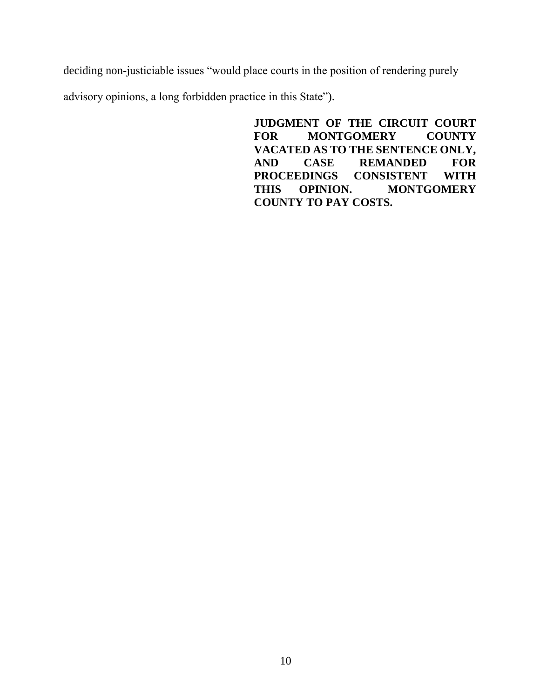deciding non-justiciable issues "would place courts in the position of rendering purely

advisory opinions, a long forbidden practice in this State").

**JUDGMENT OF THE CIRCUIT COURT FOR MONTGOMERY COUNTY VACATED AS TO THE SENTENCE ONLY, AND CASE REMANDED FOR PROCEEDINGS CONSISTENT WITH THIS OPINION. MONTGOMERY COUNTY TO PAY COSTS.**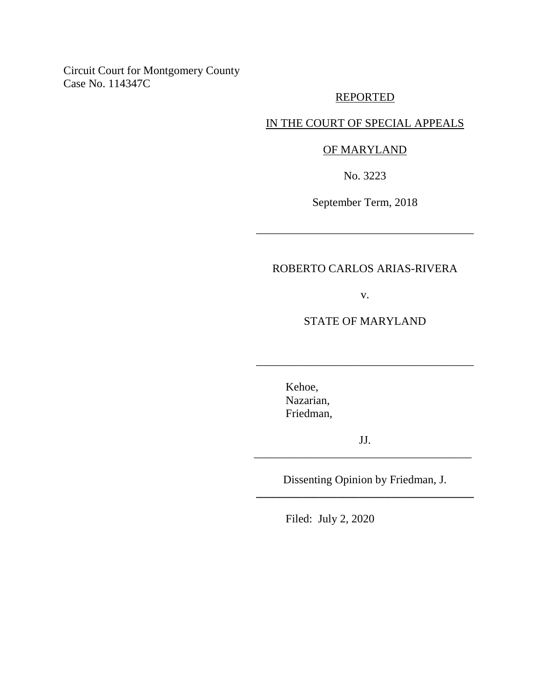Circuit Court for Montgomery County Case No. 114347C

### REPORTED

## IN THE COURT OF SPECIAL APPEALS

#### OF MARYLAND

No. 3223

September Term, 2018

\_\_\_\_\_\_\_\_\_\_\_\_\_\_\_\_\_\_\_\_\_\_\_\_\_\_\_\_\_\_\_\_\_\_\_\_\_\_

## ROBERTO CARLOS ARIAS-RIVERA

v.

STATE OF MARYLAND

\_\_\_\_\_\_\_\_\_\_\_\_\_\_\_\_\_\_\_\_\_\_\_\_\_\_\_\_\_\_\_\_\_\_\_\_\_\_

Kehoe, Nazarian, Friedman,

JJ. \_\_\_\_\_\_\_\_\_\_\_\_\_\_\_\_\_\_\_\_\_\_\_\_\_\_\_\_\_\_\_\_\_\_\_\_\_\_

Dissenting Opinion by Friedman, J. **\_\_\_\_\_\_\_\_\_\_\_\_\_\_\_\_\_\_\_\_\_\_\_\_\_\_\_\_\_\_\_\_\_\_\_\_\_\_**

Filed: July 2, 2020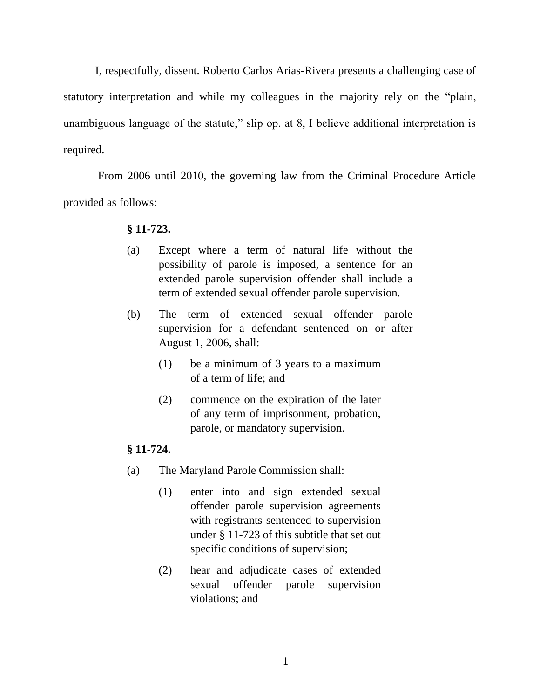I, respectfully, dissent. Roberto Carlos Arias-Rivera presents a challenging case of statutory interpretation and while my colleagues in the majority rely on the "plain, unambiguous language of the statute," slip op. at 8, I believe additional interpretation is required.

From 2006 until 2010, the governing law from the Criminal Procedure Article provided as follows:

#### **§ 11-723.**

- (a) Except where a term of natural life without the possibility of parole is imposed, a sentence for an extended parole supervision offender shall include a term of extended sexual offender parole supervision.
- (b) The term of extended sexual offender parole supervision for a defendant sentenced on or after August 1, 2006, shall:
	- (1) be a minimum of 3 years to a maximum of a term of life; and
	- (2) commence on the expiration of the later of any term of imprisonment, probation, parole, or mandatory supervision.

### **§ 11-724.**

- (a) The Maryland Parole Commission shall:
	- (1) enter into and sign extended sexual offender parole supervision agreements with registrants sentenced to supervision under § 11-723 of this subtitle that set out specific conditions of supervision;
	- (2) hear and adjudicate cases of extended sexual offender parole supervision violations; and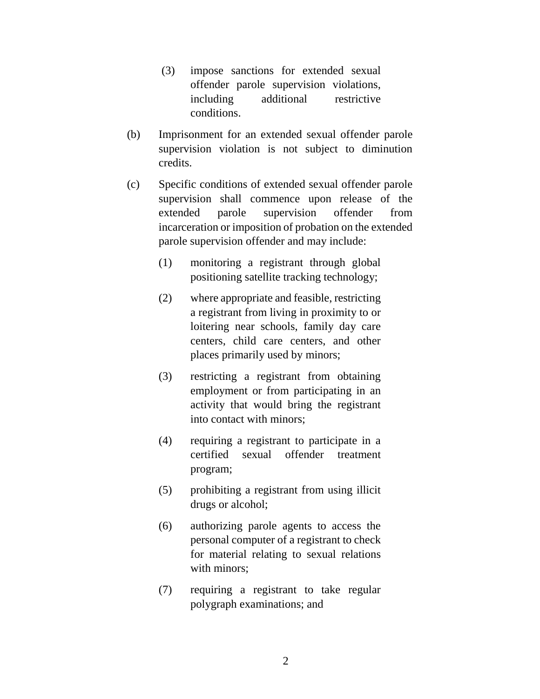- (3) impose sanctions for extended sexual offender parole supervision violations, including additional restrictive conditions.
- (b) Imprisonment for an extended sexual offender parole supervision violation is not subject to diminution credits.
- (c) Specific conditions of extended sexual offender parole supervision shall commence upon release of the extended parole supervision offender from incarceration or imposition of probation on the extended parole supervision offender and may include:
	- (1) monitoring a registrant through global positioning satellite tracking technology;
	- (2) where appropriate and feasible, restricting a registrant from living in proximity to or loitering near schools, family day care centers, child care centers, and other places primarily used by minors;
	- (3) restricting a registrant from obtaining employment or from participating in an activity that would bring the registrant into contact with minors;
	- (4) requiring a registrant to participate in a certified sexual offender treatment program;
	- (5) prohibiting a registrant from using illicit drugs or alcohol;
	- (6) authorizing parole agents to access the personal computer of a registrant to check for material relating to sexual relations with minors;
	- (7) requiring a registrant to take regular polygraph examinations; and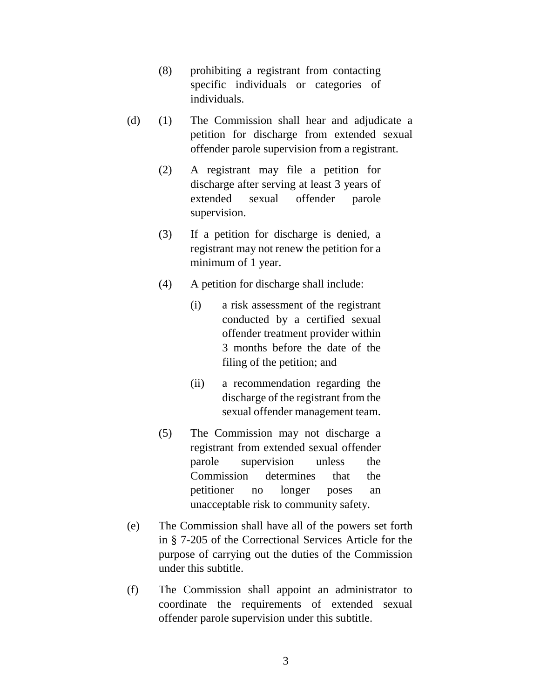- (8) prohibiting a registrant from contacting specific individuals or categories of individuals.
- (d) (1) The Commission shall hear and adjudicate a petition for discharge from extended sexual offender parole supervision from a registrant.
	- (2) A registrant may file a petition for discharge after serving at least 3 years of extended sexual offender parole supervision.
	- (3) If a petition for discharge is denied, a registrant may not renew the petition for a minimum of 1 year.
	- (4) A petition for discharge shall include:
		- (i) a risk assessment of the registrant conducted by a certified sexual offender treatment provider within 3 months before the date of the filing of the petition; and
		- (ii) a recommendation regarding the discharge of the registrant from the sexual offender management team.
	- (5) The Commission may not discharge a registrant from extended sexual offender parole supervision unless the Commission determines that the petitioner no longer poses an unacceptable risk to community safety.
- (e) The Commission shall have all of the powers set forth in § 7-205 of the Correctional Services Article for the purpose of carrying out the duties of the Commission under this subtitle.
- (f) The Commission shall appoint an administrator to coordinate the requirements of extended sexual offender parole supervision under this subtitle.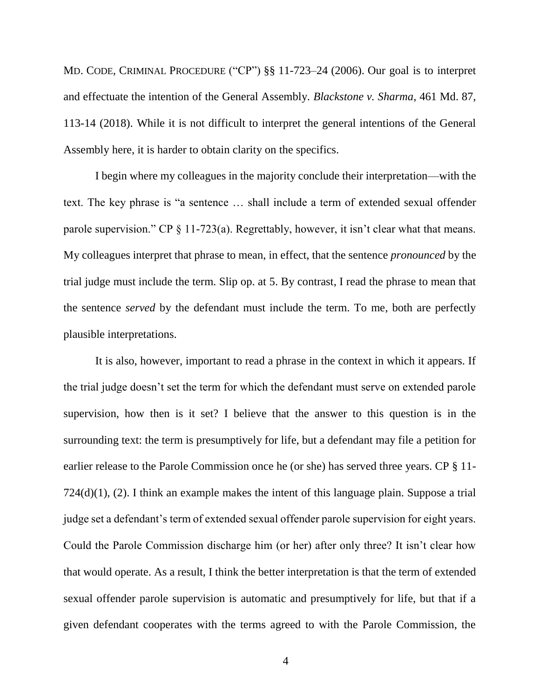MD. CODE, CRIMINAL PROCEDURE ("CP") §§ 11-723–24 (2006). Our goal is to interpret and effectuate the intention of the General Assembly. *Blackstone v. Sharma*, 461 Md. 87, 113-14 (2018). While it is not difficult to interpret the general intentions of the General Assembly here, it is harder to obtain clarity on the specifics.

I begin where my colleagues in the majority conclude their interpretation—with the text. The key phrase is "a sentence … shall include a term of extended sexual offender parole supervision." CP § 11-723(a). Regrettably, however, it isn't clear what that means. My colleagues interpret that phrase to mean, in effect, that the sentence *pronounced* by the trial judge must include the term. Slip op. at 5. By contrast, I read the phrase to mean that the sentence *served* by the defendant must include the term. To me, both are perfectly plausible interpretations.

It is also, however, important to read a phrase in the context in which it appears. If the trial judge doesn't set the term for which the defendant must serve on extended parole supervision, how then is it set? I believe that the answer to this question is in the surrounding text: the term is presumptively for life, but a defendant may file a petition for earlier release to the Parole Commission once he (or she) has served three years. CP § 11- 724(d)(1), (2). I think an example makes the intent of this language plain. Suppose a trial judge set a defendant's term of extended sexual offender parole supervision for eight years. Could the Parole Commission discharge him (or her) after only three? It isn't clear how that would operate. As a result, I think the better interpretation is that the term of extended sexual offender parole supervision is automatic and presumptively for life, but that if a given defendant cooperates with the terms agreed to with the Parole Commission, the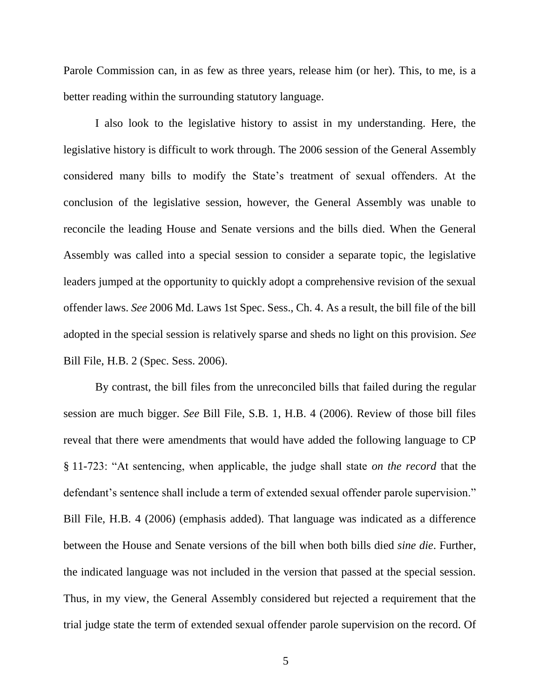Parole Commission can, in as few as three years, release him (or her). This, to me, is a better reading within the surrounding statutory language.

I also look to the legislative history to assist in my understanding. Here, the legislative history is difficult to work through. The 2006 session of the General Assembly considered many bills to modify the State's treatment of sexual offenders. At the conclusion of the legislative session, however, the General Assembly was unable to reconcile the leading House and Senate versions and the bills died. When the General Assembly was called into a special session to consider a separate topic, the legislative leaders jumped at the opportunity to quickly adopt a comprehensive revision of the sexual offender laws. *See* 2006 Md. Laws 1st Spec. Sess., Ch. 4. As a result, the bill file of the bill adopted in the special session is relatively sparse and sheds no light on this provision. *See* Bill File, H.B. 2 (Spec. Sess. 2006).

By contrast, the bill files from the unreconciled bills that failed during the regular session are much bigger. *See* Bill File, S.B. 1, H.B. 4 (2006). Review of those bill files reveal that there were amendments that would have added the following language to CP § 11-723: "At sentencing, when applicable, the judge shall state *on the record* that the defendant's sentence shall include a term of extended sexual offender parole supervision." Bill File, H.B. 4 (2006) (emphasis added). That language was indicated as a difference between the House and Senate versions of the bill when both bills died *sine die*. Further, the indicated language was not included in the version that passed at the special session. Thus, in my view, the General Assembly considered but rejected a requirement that the trial judge state the term of extended sexual offender parole supervision on the record. Of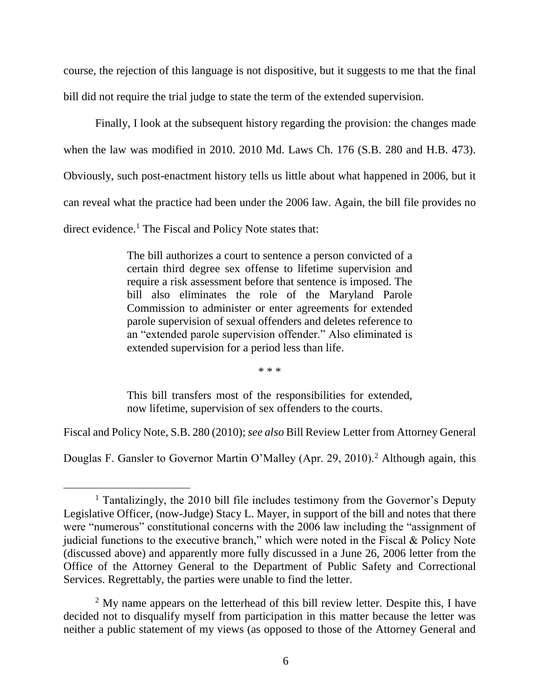course, the rejection of this language is not dispositive, but it suggests to me that the final bill did not require the trial judge to state the term of the extended supervision.

Finally, I look at the subsequent history regarding the provision: the changes made when the law was modified in 2010. 2010 Md. Laws Ch. 176 (S.B. 280 and H.B. 473). Obviously, such post-enactment history tells us little about what happened in 2006, but it can reveal what the practice had been under the 2006 law. Again, the bill file provides no direct evidence.<sup>1</sup> The Fiscal and Policy Note states that:

> The bill authorizes a court to sentence a person convicted of a certain third degree sex offense to lifetime supervision and require a risk assessment before that sentence is imposed. The bill also eliminates the role of the Maryland Parole Commission to administer or enter agreements for extended parole supervision of sexual offenders and deletes reference to an "extended parole supervision offender." Also eliminated is extended supervision for a period less than life.

> > \* \* \*

This bill transfers most of the responsibilities for extended, now lifetime, supervision of sex offenders to the courts.

Fiscal and Policy Note, S.B. 280 (2010); *see also* Bill Review Letter from Attorney General

Douglas F. Gansler to Governor Martin O'Malley (Apr. 29, 2010).<sup>2</sup> Although again, this

<sup>&</sup>lt;sup>1</sup> Tantalizingly, the 2010 bill file includes testimony from the Governor's Deputy Legislative Officer, (now-Judge) Stacy L. Mayer, in support of the bill and notes that there were "numerous" constitutional concerns with the 2006 law including the "assignment of judicial functions to the executive branch," which were noted in the Fiscal & Policy Note (discussed above) and apparently more fully discussed in a June 26, 2006 letter from the Office of the Attorney General to the Department of Public Safety and Correctional Services. Regrettably, the parties were unable to find the letter.

<sup>&</sup>lt;sup>2</sup> My name appears on the letterhead of this bill review letter. Despite this, I have decided not to disqualify myself from participation in this matter because the letter was neither a public statement of my views (as opposed to those of the Attorney General and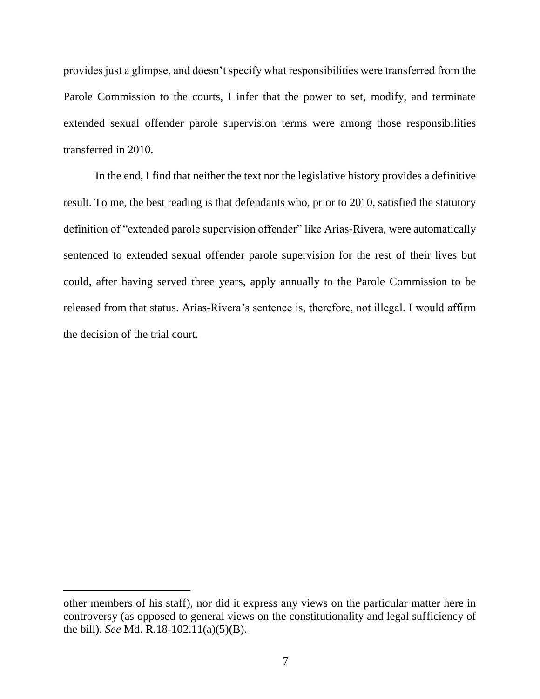provides just a glimpse, and doesn't specify what responsibilities were transferred from the Parole Commission to the courts, I infer that the power to set, modify, and terminate extended sexual offender parole supervision terms were among those responsibilities transferred in 2010.

In the end, I find that neither the text nor the legislative history provides a definitive result. To me, the best reading is that defendants who, prior to 2010, satisfied the statutory definition of "extended parole supervision offender" like Arias-Rivera, were automatically sentenced to extended sexual offender parole supervision for the rest of their lives but could, after having served three years, apply annually to the Parole Commission to be released from that status. Arias-Rivera's sentence is, therefore, not illegal. I would affirm the decision of the trial court.

other members of his staff), nor did it express any views on the particular matter here in controversy (as opposed to general views on the constitutionality and legal sufficiency of the bill). *See* Md. R.18-102.11(a)(5)(B).